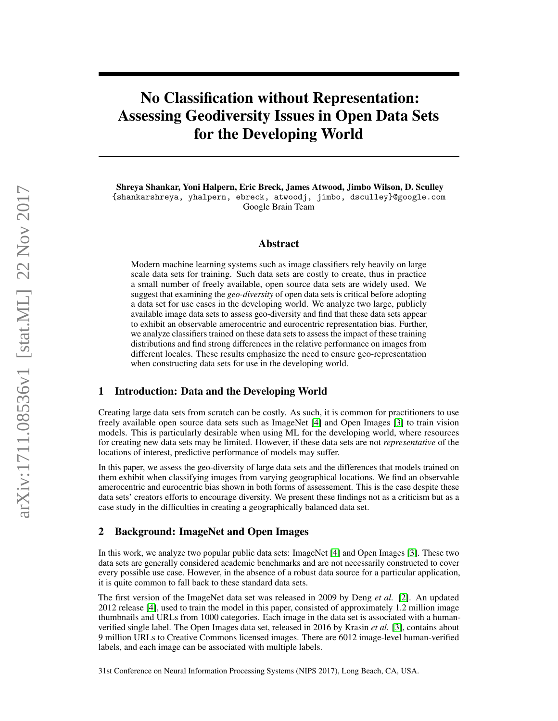# No Classification without Representation: Assessing Geodiversity Issues in Open Data Sets for the Developing World

Shreya Shankar, Yoni Halpern, Eric Breck, James Atwood, Jimbo Wilson, D. Sculley {shankarshreya, yhalpern, ebreck, atwoodj, jimbo, dsculley}@google.com Google Brain Team

#### Abstract

Modern machine learning systems such as image classifiers rely heavily on large scale data sets for training. Such data sets are costly to create, thus in practice a small number of freely available, open source data sets are widely used. We suggest that examining the *geo-diversity* of open data sets is critical before adopting a data set for use cases in the developing world. We analyze two large, publicly available image data sets to assess geo-diversity and find that these data sets appear to exhibit an observable amerocentric and eurocentric representation bias. Further, we analyze classifiers trained on these data sets to assess the impact of these training distributions and find strong differences in the relative performance on images from different locales. These results emphasize the need to ensure geo-representation when constructing data sets for use in the developing world.

#### 1 Introduction: Data and the Developing World

Creating large data sets from scratch can be costly. As such, it is common for practitioners to use freely available open source data sets such as ImageNet [\[4\]](#page-4-0) and Open Images [\[3\]](#page-4-1) to train vision models. This is particularly desirable when using ML for the developing world, where resources for creating new data sets may be limited. However, if these data sets are not *representative* of the locations of interest, predictive performance of models may suffer.

In this paper, we assess the geo-diversity of large data sets and the differences that models trained on them exhibit when classifying images from varying geographical locations. We find an observable amerocentric and eurocentric bias shown in both forms of assessement. This is the case despite these data sets' creators efforts to encourage diversity. We present these findings not as a criticism but as a case study in the difficulties in creating a geographically balanced data set.

## 2 Background: ImageNet and Open Images

In this work, we analyze two popular public data sets: ImageNet [\[4\]](#page-4-0) and Open Images [\[3\]](#page-4-1). These two data sets are generally considered academic benchmarks and are not necessarily constructed to cover every possible use case. However, in the absence of a robust data source for a particular application, it is quite common to fall back to these standard data sets.

The first version of the ImageNet data set was released in 2009 by Deng *et al.* [\[2\]](#page-4-2). An updated 2012 release [\[4\]](#page-4-0), used to train the model in this paper, consisted of approximately 1.2 million image thumbnails and URLs from 1000 categories. Each image in the data set is associated with a humanverified single label. The Open Images data set, released in 2016 by Krasin *et al.* [\[3\]](#page-4-1), contains about 9 million URLs to Creative Commons licensed images. There are 6012 image-level human-verified labels, and each image can be associated with multiple labels.

31st Conference on Neural Information Processing Systems (NIPS 2017), Long Beach, CA, USA.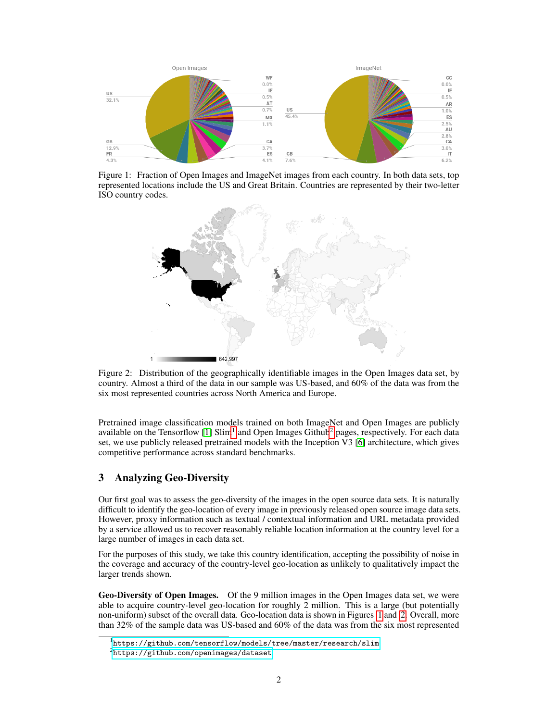

Figure 1: Fraction of Open Images and ImageNet images from each country. In both data sets, top represented locations include the US and Great Britain. Countries are represented by their two-letter ISO country codes.

<span id="page-1-2"></span>

<span id="page-1-3"></span>Figure 2: Distribution of the geographically identifiable images in the Open Images data set, by country. Almost a third of the data in our sample was US-based, and 60% of the data was from the six most represented countries across North America and Europe.

Pretrained image classification models trained on both ImageNet and Open Images are publicly available on the Tensorflow [\[1\]](#page-4-3) Slim<sup>[1](#page-1-0)</sup> and Open Images Github<sup>[2](#page-1-1)</sup> pages, respectively. For each data set, we use publicly released pretrained models with the Inception V3 [\[6\]](#page-4-4) architecture, which gives competitive performance across standard benchmarks.

## 3 Analyzing Geo-Diversity

Our first goal was to assess the geo-diversity of the images in the open source data sets. It is naturally difficult to identify the geo-location of every image in previously released open source image data sets. However, proxy information such as textual / contextual information and URL metadata provided by a service allowed us to recover reasonably reliable location information at the country level for a large number of images in each data set.

For the purposes of this study, we take this country identification, accepting the possibility of noise in the coverage and accuracy of the country-level geo-location as unlikely to qualitatively impact the larger trends shown.

Geo-Diversity of Open Images. Of the 9 million images in the Open Images data set, we were able to acquire country-level geo-location for roughly 2 million. This is a large (but potentially non-uniform) subset of the overall data. Geo-location data is shown in Figures [1](#page-1-2) and [2.](#page-1-3) Overall, more than 32% of the sample data was US-based and 60% of the data was from the six most represented

<span id="page-1-0"></span><sup>1</sup> <https://github.com/tensorflow/models/tree/master/research/slim>

<span id="page-1-1"></span> $^{2}$ <https://github.com/openimages/dataset>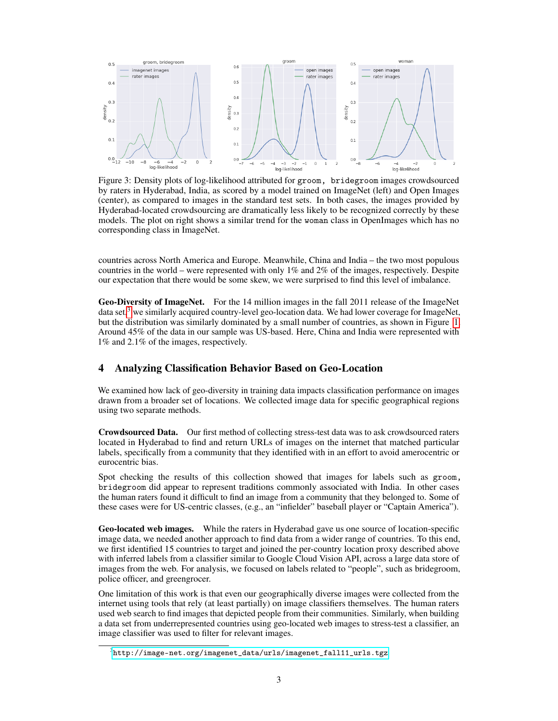

<span id="page-2-1"></span>Figure 3: Density plots of log-likelihood attributed for groom, bridegroom images crowdsourced by raters in Hyderabad, India, as scored by a model trained on ImageNet (left) and Open Images (center), as compared to images in the standard test sets. In both cases, the images provided by Hyderabad-located crowdsourcing are dramatically less likely to be recognized correctly by these models. The plot on right shows a similar trend for the woman class in OpenImages which has no corresponding class in ImageNet.

countries across North America and Europe. Meanwhile, China and India – the two most populous countries in the world – were represented with only 1% and 2% of the images, respectively. Despite our expectation that there would be some skew, we were surprised to find this level of imbalance.

Geo-Diversity of ImageNet. For the 14 million images in the fall 2011 release of the ImageNet data set,<sup>[3](#page-2-0)</sup> we similarly acquired country-level geo-location data. We had lower coverage for ImageNet, but the distribution was similarly dominated by a small number of countries, as shown in Figure [1.](#page-1-2) Around 45% of the data in our sample was US-based. Here, China and India were represented with 1% and 2.1% of the images, respectively.

## 4 Analyzing Classification Behavior Based on Geo-Location

We examined how lack of geo-diversity in training data impacts classification performance on images drawn from a broader set of locations. We collected image data for specific geographical regions using two separate methods.

Crowdsourced Data. Our first method of collecting stress-test data was to ask crowdsourced raters located in Hyderabad to find and return URLs of images on the internet that matched particular labels, specifically from a community that they identified with in an effort to avoid amerocentric or eurocentric bias.

Spot checking the results of this collection showed that images for labels such as groom, bridegroom did appear to represent traditions commonly associated with India. In other cases the human raters found it difficult to find an image from a community that they belonged to. Some of these cases were for US-centric classes, (e.g., an "infielder" baseball player or "Captain America").

Geo-located web images. While the raters in Hyderabad gave us one source of location-specific image data, we needed another approach to find data from a wider range of countries. To this end, we first identified 15 countries to target and joined the per-country location proxy described above with inferred labels from a classifier similar to Google Cloud Vision API, across a large data store of images from the web. For analysis, we focused on labels related to "people", such as bridegroom, police officer, and greengrocer.

One limitation of this work is that even our geographically diverse images were collected from the internet using tools that rely (at least partially) on image classifiers themselves. The human raters used web search to find images that depicted people from their communities. Similarly, when building a data set from underrepresented countries using geo-located web images to stress-test a classifier, an image classifier was used to filter for relevant images.

<span id="page-2-0"></span> $^3$ [http://image-net.org/imagenet\\_data/urls/imagenet\\_fall11\\_urls.tgz](http://image-net.org/imagenet_data/urls/imagenet_fall11_urls.tgz)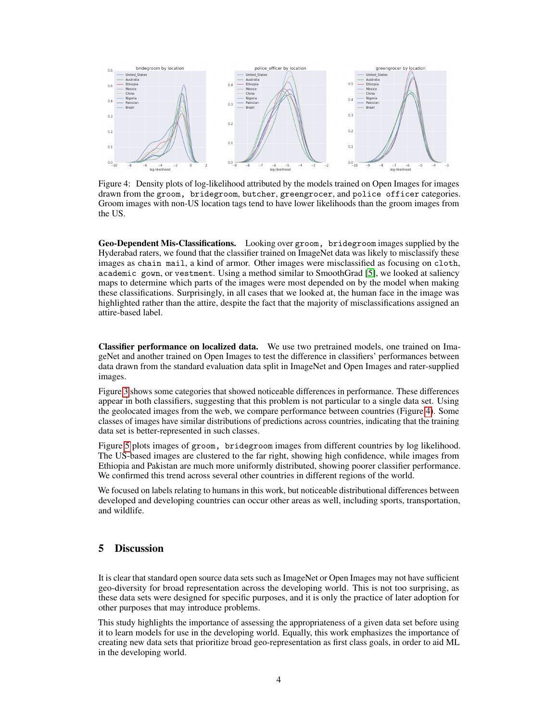

<span id="page-3-0"></span>Figure 4: Density plots of log-likelihood attributed by the models trained on Open Images for images drawn from the groom, bridegroom, butcher, greengrocer, and police officer categories. Groom images with non-US location tags tend to have lower likelihoods than the groom images from the US.

Geo-Dependent Mis-Classifications. Looking over groom, bridegroom images supplied by the Hyderabad raters, we found that the classifier trained on ImageNet data was likely to misclassify these images as chain mail, a kind of armor. Other images were misclassified as focusing on cloth, academic gown, or vestment. Using a method similar to SmoothGrad [\[5\]](#page-4-5), we looked at saliency maps to determine which parts of the images were most depended on by the model when making these classifications. Surprisingly, in all cases that we looked at, the human face in the image was highlighted rather than the attire, despite the fact that the majority of misclassifications assigned an attire-based label.

Classifier performance on localized data. We use two pretrained models, one trained on ImageNet and another trained on Open Images to test the difference in classifiers' performances between data drawn from the standard evaluation data split in ImageNet and Open Images and rater-supplied images.

Figure [3](#page-2-1) shows some categories that showed noticeable differences in performance. These differences appear in both classifiers, suggesting that this problem is not particular to a single data set. Using the geolocated images from the web, we compare performance between countries (Figure [4\)](#page-3-0). Some classes of images have similar distributions of predictions across countries, indicating that the training data set is better-represented in such classes.

Figure [5](#page-4-6) plots images of groom, bridegroom images from different countries by log likelihood. The US-based images are clustered to the far right, showing high confidence, while images from Ethiopia and Pakistan are much more uniformly distributed, showing poorer classifier performance. We confirmed this trend across several other countries in different regions of the world.

We focused on labels relating to humans in this work, but noticeable distributional differences between developed and developing countries can occur other areas as well, including sports, transportation, and wildlife.

## 5 Discussion

It is clear that standard open source data sets such as ImageNet or Open Images may not have sufficient geo-diversity for broad representation across the developing world. This is not too surprising, as these data sets were designed for specific purposes, and it is only the practice of later adoption for other purposes that may introduce problems.

This study highlights the importance of assessing the appropriateness of a given data set before using it to learn models for use in the developing world. Equally, this work emphasizes the importance of creating new data sets that prioritize broad geo-representation as first class goals, in order to aid ML in the developing world.